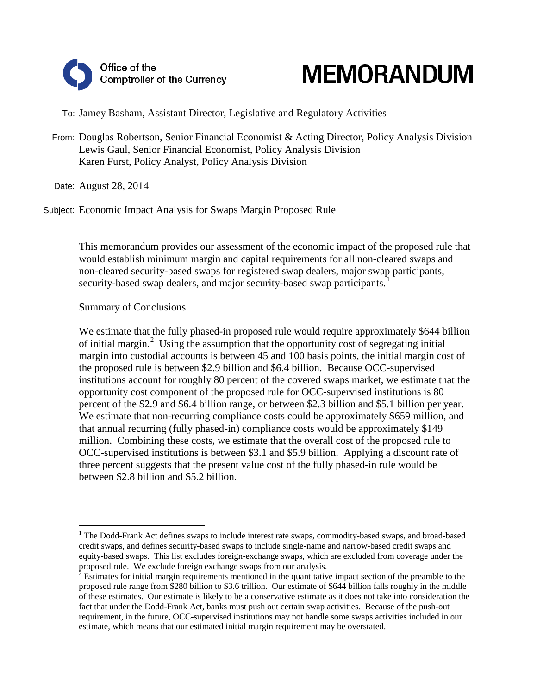# **MEMORANDUM**

To: Jamey Basham, Assistant Director, Legislative and Regulatory Activities

From: Douglas Robertson, Senior Financial Economist & Acting Director, Policy Analysis Division Lewis Gaul, Senior Financial Economist, Policy Analysis Division Karen Furst, Policy Analyst, Policy Analysis Division

Date: August 28, 2014

Subject: Economic Impact Analysis for Swaps Margin Proposed Rule

This memorandum provides our assessment of the economic impact of the proposed rule that would establish minimum margin and capital requirements for all non-cleared swaps and non-cleared security-based swaps for registered swap dealers, major swap participants, security-based swap dealers, and major security-based swap participants.<sup>[1](#page-0-0)</sup>

## Summary of Conclusions

We estimate that the fully phased-in proposed rule would require approximately \$644 billion of initial margin.<sup>[2](#page-0-1)</sup> Using the assumption that the opportunity cost of segregating initial margin into custodial accounts is between 45 and 100 basis points, the initial margin cost of the proposed rule is between \$2.9 billion and \$6.4 billion. Because OCC-supervised institutions account for roughly 80 percent of the covered swaps market, we estimate that the opportunity cost component of the proposed rule for OCC-supervised institutions is 80 percent of the \$2.9 and \$6.4 billion range, or between \$2.3 billion and \$5.1 billion per year. We estimate that non-recurring compliance costs could be approximately \$659 million, and that annual recurring (fully phased-in) compliance costs would be approximately \$149 million. Combining these costs, we estimate that the overall cost of the proposed rule to OCC-supervised institutions is between \$3.1 and \$5.9 billion. Applying a discount rate of three percent suggests that the present value cost of the fully phased-in rule would be between \$2.8 billion and \$5.2 billion.

<span id="page-0-0"></span><sup>&</sup>lt;sup>1</sup> The Dodd-Frank Act defines swaps to include interest rate swaps, commodity-based swaps, and broad-based credit swaps, and defines security-based swaps to include single-name and narrow-based credit swaps and equity-based swaps. This list excludes foreign-exchange swaps, which are excluded from coverage under the proposed rule. We exclude foreign exchange swaps from our analysis.

<span id="page-0-1"></span><sup>&</sup>lt;sup>2</sup> Estimates for initial margin requirements mentioned in the quantitative impact section of the preamble to the proposed rule range from \$280 billion to \$3.6 trillion. Our estimate of \$644 billion falls roughly in the middle of these estimates. Our estimate is likely to be a conservative estimate as it does not take into consideration the fact that under the Dodd-Frank Act, banks must push out certain swap activities. Because of the push-out requirement, in the future, OCC-supervised institutions may not handle some swaps activities included in our estimate, which means that our estimated initial margin requirement may be overstated.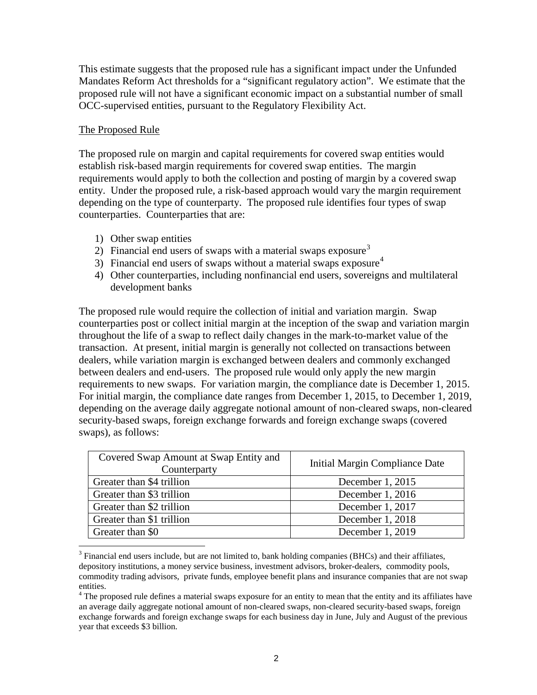This estimate suggests that the proposed rule has a significant impact under the Unfunded Mandates Reform Act thresholds for a "significant regulatory action". We estimate that the proposed rule will not have a significant economic impact on a substantial number of small OCC-supervised entities, pursuant to the Regulatory Flexibility Act.

## The Proposed Rule

The proposed rule on margin and capital requirements for covered swap entities would establish risk-based margin requirements for covered swap entities. The margin requirements would apply to both the collection and posting of margin by a covered swap entity. Under the proposed rule, a risk-based approach would vary the margin requirement depending on the type of counterparty. The proposed rule identifies four types of swap counterparties. Counterparties that are:

- 1) Other swap entities
- 2) Financial end users of swaps with a material swaps exposure<sup>[3](#page-1-0)</sup>
- 3) Financial end users of swaps without a material swaps exposure<sup>[4](#page-1-1)</sup>
- 4) Other counterparties, including nonfinancial end users, sovereigns and multilateral development banks

The proposed rule would require the collection of initial and variation margin. Swap counterparties post or collect initial margin at the inception of the swap and variation margin throughout the life of a swap to reflect daily changes in the mark-to-market value of the transaction. At present, initial margin is generally not collected on transactions between dealers, while variation margin is exchanged between dealers and commonly exchanged between dealers and end-users. The proposed rule would only apply the new margin requirements to new swaps. For variation margin, the compliance date is December 1, 2015. For initial margin, the compliance date ranges from December 1, 2015, to December 1, 2019, depending on the average daily aggregate notional amount of non-cleared swaps, non-cleared security-based swaps, foreign exchange forwards and foreign exchange swaps (covered swaps), as follows:

| Covered Swap Amount at Swap Entity and<br>Counterparty | Initial Margin Compliance Date |
|--------------------------------------------------------|--------------------------------|
| Greater than \$4 trillion                              | December 1, 2015               |
| Greater than \$3 trillion                              | December 1, 2016               |
| Greater than \$2 trillion                              | December 1, 2017               |
| Greater than \$1 trillion                              | December 1, 2018               |
| Greater than \$0                                       | December 1, 2019               |

<span id="page-1-0"></span><sup>3</sup> Financial end users include, but are not limited to, bank holding companies (BHCs) and their affiliates, depository institutions, a money service business, investment advisors, broker-dealers, commodity pools, commodity trading advisors, private funds, employee benefit plans and insurance companies that are not swap entities.

<span id="page-1-1"></span><sup>4</sup> The proposed rule defines a material swaps exposure for an entity to mean that the entity and its affiliates have an average daily aggregate notional amount of non-cleared swaps, non-cleared security-based swaps, foreign exchange forwards and foreign exchange swaps for each business day in June, July and August of the previous year that exceeds \$3 billion.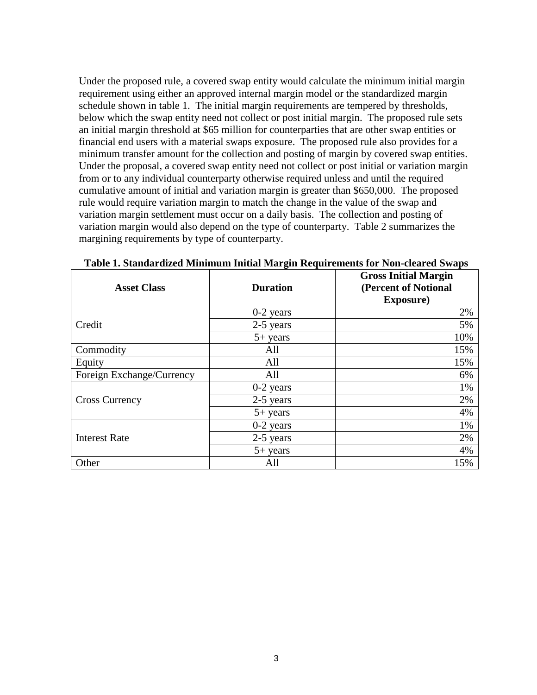Under the proposed rule, a covered swap entity would calculate the minimum initial margin requirement using either an approved internal margin model or the standardized margin schedule shown in table 1. The initial margin requirements are tempered by thresholds, below which the swap entity need not collect or post initial margin. The proposed rule sets an initial margin threshold at \$65 million for counterparties that are other swap entities or financial end users with a material swaps exposure. The proposed rule also provides for a minimum transfer amount for the collection and posting of margin by covered swap entities. Under the proposal, a covered swap entity need not collect or post initial or variation margin from or to any individual counterparty otherwise required unless and until the required cumulative amount of initial and variation margin is greater than \$650,000. The proposed rule would require variation margin to match the change in the value of the swap and variation margin settlement must occur on a daily basis. The collection and posting of variation margin would also depend on the type of counterparty. Table 2 summarizes the margining requirements by type of counterparty.

| <b>Asset Class</b>        | <b>Duration</b> | <b>Gross Initial Margin</b><br>(Percent of Notional<br><b>Exposure</b> ) |
|---------------------------|-----------------|--------------------------------------------------------------------------|
|                           | $0-2$ years     | 2%                                                                       |
| Credit                    | 2-5 years       | 5%                                                                       |
|                           | $5+$ years      | 10%                                                                      |
| Commodity                 | All             | 15%                                                                      |
| Equity                    | All             | 15%                                                                      |
| Foreign Exchange/Currency | All             | 6%                                                                       |
|                           | $0-2$ years     | 1%                                                                       |
| <b>Cross Currency</b>     | 2-5 years       | 2%                                                                       |
|                           | $5+$ years      | 4%                                                                       |
|                           | $0-2$ years     | 1%                                                                       |
| <b>Interest Rate</b>      | 2-5 years       | 2%                                                                       |
|                           | $5+$ years      | 4%                                                                       |
| Other                     | All             | 15%                                                                      |

**Table 1. Standardized Minimum Initial Margin Requirements for Non-cleared Swaps**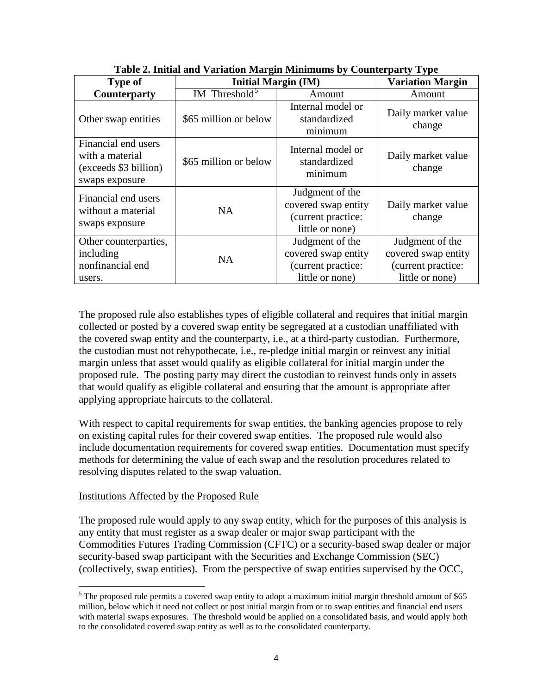| <b>Type of</b>                                                                    | $\mathbf{m}$ and $\mathbf{m}$ and $\mathbf{m}$ and $\mathbf{m}$ and $\mathbf{m}$ and $\mathbf{m}$ and $\mathbf{m}$ and $\mathbf{m}$ and $\mathbf{m}$ and $\mathbf{m}$ and $\mathbf{m}$ and $\mathbf{m}$ and $\mathbf{m}$ and $\mathbf{m}$ and $\mathbf{m}$ and $\mathbf{m}$ and $\mathbf{m}$ and<br><b>Initial Margin (IM)</b> | <b>Variation Margin</b>                                                         |                                                                                 |
|-----------------------------------------------------------------------------------|--------------------------------------------------------------------------------------------------------------------------------------------------------------------------------------------------------------------------------------------------------------------------------------------------------------------------------|---------------------------------------------------------------------------------|---------------------------------------------------------------------------------|
| <b>Counterparty</b>                                                               | IM Threshold <sup>5</sup>                                                                                                                                                                                                                                                                                                      | Amount                                                                          | Amount                                                                          |
| Other swap entities                                                               | \$65 million or below                                                                                                                                                                                                                                                                                                          | Internal model or<br>standardized<br>minimum                                    | Daily market value<br>change                                                    |
| Financial end users<br>with a material<br>(exceeds \$3 billion)<br>swaps exposure | \$65 million or below                                                                                                                                                                                                                                                                                                          | Internal model or<br>standardized<br>minimum                                    | Daily market value<br>change                                                    |
| Financial end users<br>without a material<br>swaps exposure                       | <b>NA</b>                                                                                                                                                                                                                                                                                                                      | Judgment of the<br>covered swap entity<br>(current practice:<br>little or none) | Daily market value<br>change                                                    |
| Other counterparties,<br>including<br>nonfinancial end<br>users.                  | <b>NA</b>                                                                                                                                                                                                                                                                                                                      | Judgment of the<br>covered swap entity<br>(current practice:<br>little or none) | Judgment of the<br>covered swap entity<br>(current practice:<br>little or none) |

**Table 2. Initial and Variation Margin Minimums by Counterparty Type**

The proposed rule also establishes types of eligible collateral and requires that initial margin collected or posted by a covered swap entity be segregated at a custodian unaffiliated with the covered swap entity and the counterparty, i.e., at a third-party custodian. Furthermore, the custodian must not rehypothecate, i.e., re-pledge initial margin or reinvest any initial margin unless that asset would qualify as eligible collateral for initial margin under the proposed rule. The posting party may direct the custodian to reinvest funds only in assets that would qualify as eligible collateral and ensuring that the amount is appropriate after applying appropriate haircuts to the collateral.

With respect to capital requirements for swap entities, the banking agencies propose to rely on existing capital rules for their covered swap entities. The proposed rule would also include documentation requirements for covered swap entities. Documentation must specify methods for determining the value of each swap and the resolution procedures related to resolving disputes related to the swap valuation.

#### Institutions Affected by the Proposed Rule

The proposed rule would apply to any swap entity, which for the purposes of this analysis is any entity that must register as a swap dealer or major swap participant with the Commodities Futures Trading Commission (CFTC) or a security-based swap dealer or major security-based swap participant with the Securities and Exchange Commission (SEC) (collectively, swap entities). From the perspective of swap entities supervised by the OCC,

<span id="page-3-0"></span> $<sup>5</sup>$  The proposed rule permits a covered swap entity to adopt a maximum initial margin threshold amount of \$65</sup> million, below which it need not collect or post initial margin from or to swap entities and financial end users with material swaps exposures. The threshold would be applied on a consolidated basis, and would apply both to the consolidated covered swap entity as well as to the consolidated counterparty.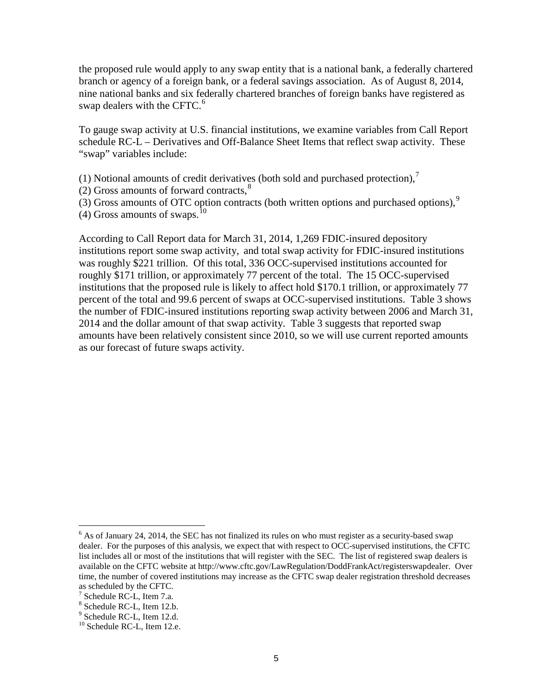the proposed rule would apply to any swap entity that is a national bank, a federally chartered branch or agency of a foreign bank, or a federal savings association. As of August 8, 2014, nine national banks and six federally chartered branches of foreign banks have registered as swap dealers with the CFTC. $^{6}$  $^{6}$  $^{6}$ 

To gauge swap activity at U.S. financial institutions, we examine variables from Call Report schedule RC-L – Derivatives and Off-Balance Sheet Items that reflect swap activity. These "swap" variables include:

(1) Notional amounts of credit derivatives (both sold and purchased protection), $^7$  $^7$ 

 $(2)$  Gross amounts of forward contracts,<sup>[8](#page-4-2)</sup>

(3) Gross amounts of OTC option contracts (both written options and purchased options), $9$ 

(4) Gross amounts of swaps. $^{10}$ 

According to Call Report data for March 31, 2014, 1,269 FDIC-insured depository institutions report some swap activity, and total swap activity for FDIC-insured institutions was roughly \$221 trillion. Of this total, 336 OCC-supervised institutions accounted for roughly \$171 trillion, or approximately 77 percent of the total. The 15 OCC-supervised institutions that the proposed rule is likely to affect hold \$170.1 trillion, or approximately 77 percent of the total and 99.6 percent of swaps at OCC-supervised institutions. Table 3 shows the number of FDIC-insured institutions reporting swap activity between 2006 and March 31, 2014 and the dollar amount of that swap activity. Table 3 suggests that reported swap amounts have been relatively consistent since 2010, so we will use current reported amounts as our forecast of future swaps activity.

<span id="page-4-0"></span><sup>&</sup>lt;sup>6</sup> As of January 24, 2014, the SEC has not finalized its rules on who must register as a security-based swap dealer. For the purposes of this analysis, we expect that with respect to OCC-supervised institutions, the CFTC list includes all or most of the institutions that will register with the SEC. The list of registered swap dealers is available on the CFTC website at http://www.cftc.gov/LawRegulation/DoddFrankAct/registerswapdealer. Over time, the number of covered institutions may increase as the CFTC swap dealer registration threshold decreases as scheduled by the CFTC.<br> $\frac{7}{1}$  Schedule RC-L, Item 7.a.

<span id="page-4-1"></span>

<span id="page-4-3"></span><span id="page-4-2"></span> $\frac{8}{3}$  Schedule RC-L, Item 12.b.<br> $\frac{9}{10}$  Schedule RC-L, Item 12.d.  $\frac{10}{10}$  Schedule RC-L, Item 12.e.

<span id="page-4-4"></span>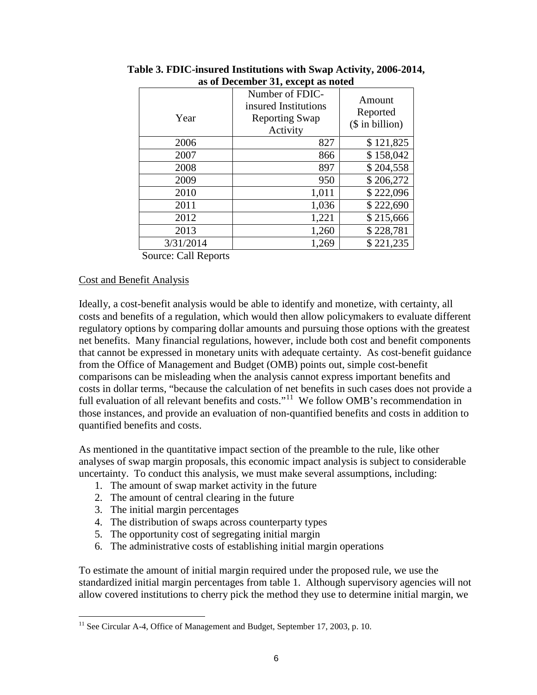| Year      | Number of FDIC-<br>insured Institutions<br><b>Reporting Swap</b><br>Activity | Amount<br>Reported<br>$($$ in billion) |
|-----------|------------------------------------------------------------------------------|----------------------------------------|
| 2006      | 827                                                                          | \$121,825                              |
| 2007      | 866                                                                          | \$158,042                              |
| 2008      | 897                                                                          | \$204,558                              |
| 2009      | 950                                                                          | \$206,272                              |
| 2010      | 1,011                                                                        | \$222,096                              |
| 2011      | 1,036                                                                        | \$222,690                              |
| 2012      | 1,221                                                                        | \$215,666                              |
| 2013      | 1,260                                                                        | \$228,781                              |
| 3/31/2014 | 1,269                                                                        | \$221,235                              |

**Table 3. FDIC-insured Institutions with Swap Activity, 2006-2014, as of December 31, except as noted**

Source: Call Reports

#### Cost and Benefit Analysis

Ideally, a cost-benefit analysis would be able to identify and monetize, with certainty, all costs and benefits of a regulation, which would then allow policymakers to evaluate different regulatory options by comparing dollar amounts and pursuing those options with the greatest net benefits. Many financial regulations, however, include both cost and benefit components that cannot be expressed in monetary units with adequate certainty. As cost-benefit guidance from the Office of Management and Budget (OMB) points out, simple cost-benefit comparisons can be misleading when the analysis cannot express important benefits and costs in dollar terms, "because the calculation of net benefits in such cases does not provide a full evaluation of all relevant benefits and costs."<sup>[11](#page-5-0)</sup> We follow OMB's recommendation in those instances, and provide an evaluation of non-quantified benefits and costs in addition to quantified benefits and costs.

As mentioned in the quantitative impact section of the preamble to the rule, like other analyses of swap margin proposals, this economic impact analysis is subject to considerable uncertainty. To conduct this analysis, we must make several assumptions, including:

- 1. The amount of swap market activity in the future
- 2. The amount of central clearing in the future
- 3. The initial margin percentages
- 4. The distribution of swaps across counterparty types
- 5. The opportunity cost of segregating initial margin
- 6. The administrative costs of establishing initial margin operations

To estimate the amount of initial margin required under the proposed rule, we use the standardized initial margin percentages from table 1. Although supervisory agencies will not allow covered institutions to cherry pick the method they use to determine initial margin, we

<span id="page-5-0"></span> $11$  See Circular A-4, Office of Management and Budget, September 17, 2003, p. 10.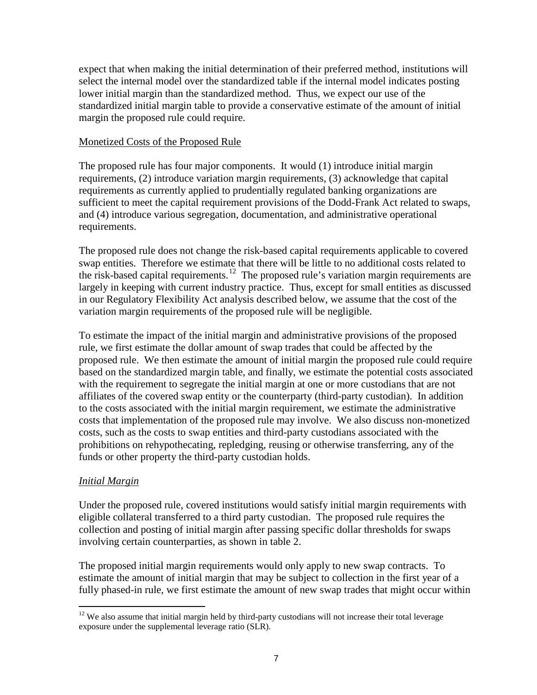expect that when making the initial determination of their preferred method, institutions will select the internal model over the standardized table if the internal model indicates posting lower initial margin than the standardized method. Thus, we expect our use of the standardized initial margin table to provide a conservative estimate of the amount of initial margin the proposed rule could require.

## Monetized Costs of the Proposed Rule

The proposed rule has four major components. It would (1) introduce initial margin requirements, (2) introduce variation margin requirements, (3) acknowledge that capital requirements as currently applied to prudentially regulated banking organizations are sufficient to meet the capital requirement provisions of the Dodd-Frank Act related to swaps, and (4) introduce various segregation, documentation, and administrative operational requirements.

The proposed rule does not change the risk-based capital requirements applicable to covered swap entities. Therefore we estimate that there will be little to no additional costs related to the risk-based capital requirements.<sup>[12](#page-6-0)</sup> The proposed rule's variation margin requirements are largely in keeping with current industry practice. Thus, except for small entities as discussed in our Regulatory Flexibility Act analysis described below, we assume that the cost of the variation margin requirements of the proposed rule will be negligible.

To estimate the impact of the initial margin and administrative provisions of the proposed rule, we first estimate the dollar amount of swap trades that could be affected by the proposed rule. We then estimate the amount of initial margin the proposed rule could require based on the standardized margin table, and finally, we estimate the potential costs associated with the requirement to segregate the initial margin at one or more custodians that are not affiliates of the covered swap entity or the counterparty (third-party custodian). In addition to the costs associated with the initial margin requirement, we estimate the administrative costs that implementation of the proposed rule may involve. We also discuss non-monetized costs, such as the costs to swap entities and third-party custodians associated with the prohibitions on rehypothecating, repledging, reusing or otherwise transferring, any of the funds or other property the third-party custodian holds.

## *Initial Margin*

Under the proposed rule, covered institutions would satisfy initial margin requirements with eligible collateral transferred to a third party custodian. The proposed rule requires the collection and posting of initial margin after passing specific dollar thresholds for swaps involving certain counterparties, as shown in table 2.

The proposed initial margin requirements would only apply to new swap contracts. To estimate the amount of initial margin that may be subject to collection in the first year of a fully phased-in rule, we first estimate the amount of new swap trades that might occur within

<span id="page-6-0"></span><sup>&</sup>lt;sup>12</sup> We also assume that initial margin held by third-party custodians will not increase their total leverage exposure under the supplemental leverage ratio (SLR).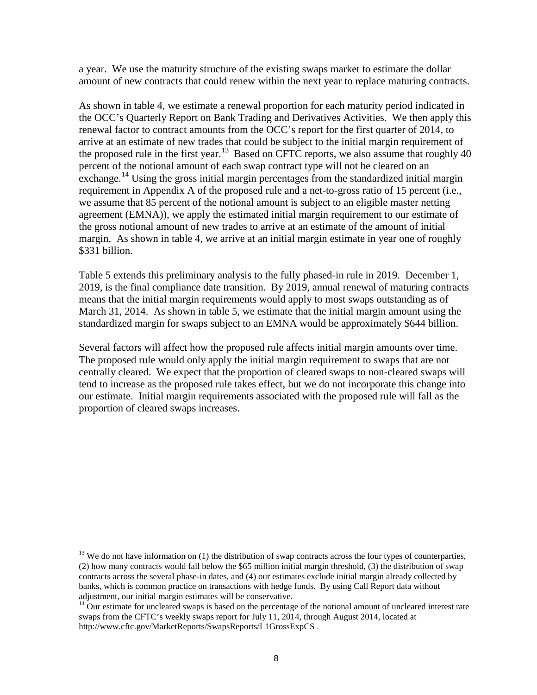a year. We use the maturity structure of the existing swaps market to estimate the dollar amount of new contracts that could renew within the next year to replace maturing contracts.

As shown in table 4, we estimate a renewal proportion for each maturity period indicated in the OCC's Quarterly Report on Bank Trading and Derivatives Activities. We then apply this renewal factor to contract amounts from the OCC's report for the first quarter of 2014, to arrive at an estimate of new trades that could be subject to the initial margin requirement of the proposed rule in the first year.<sup>[13](#page-7-0)</sup> Based on CFTC reports, we also assume that roughly 40 percent of the notional amount of each swap contract type will not be cleared on an exchange.<sup>[14](#page-7-1)</sup> Using the gross initial margin percentages from the standardized initial margin requirement in Appendix A of the proposed rule and a net-to-gross ratio of 15 percent (i.e., we assume that 85 percent of the notional amount is subject to an eligible master netting agreement (EMNA)), we apply the estimated initial margin requirement to our estimate of the gross notional amount of new trades to arrive at an estimate of the amount of initial margin. As shown in table 4, we arrive at an initial margin estimate in year one of roughly \$331 billion.

Table 5 extends this preliminary analysis to the fully phased-in rule in 2019. December 1, 2019, is the final compliance date transition. By 2019, annual renewal of maturing contracts means that the initial margin requirements would apply to most swaps outstanding as of March 31, 2014. As shown in table 5, we estimate that the initial margin amount using the standardized margin for swaps subject to an EMNA would be approximately \$644 billion.

Several factors will affect how the proposed rule affects initial margin amounts over time. The proposed rule would only apply the initial margin requirement to swaps that are not centrally cleared. We expect that the proportion of cleared swaps to non-cleared swaps will tend to increase as the proposed rule takes effect, but we do not incorporate this change into our estimate. Initial margin requirements associated with the proposed rule will fall as the proportion of cleared swaps increases.

<span id="page-7-0"></span> $13$  We do not have information on (1) the distribution of swap contracts across the four types of counterparties, (2) how many contracts would fall below the \$65 million initial margin threshold, (3) the distribution of swap contracts across the several phase-in dates, and (4) our estimates exclude initial margin already collected by banks, which is common practice on transactions with hedge funds. By using Call Report data without adjustment, our initial margin estimates will be conservative.

<span id="page-7-1"></span> $14$  Our estimate for uncleared swaps is based on the percentage of the notional amount of uncleared interest rate swaps from the CFTC's weekly swaps report for July 11, 2014, through August 2014, located at http://www.cftc.gov/MarketReports/SwapsReports/L1GrossExpCS .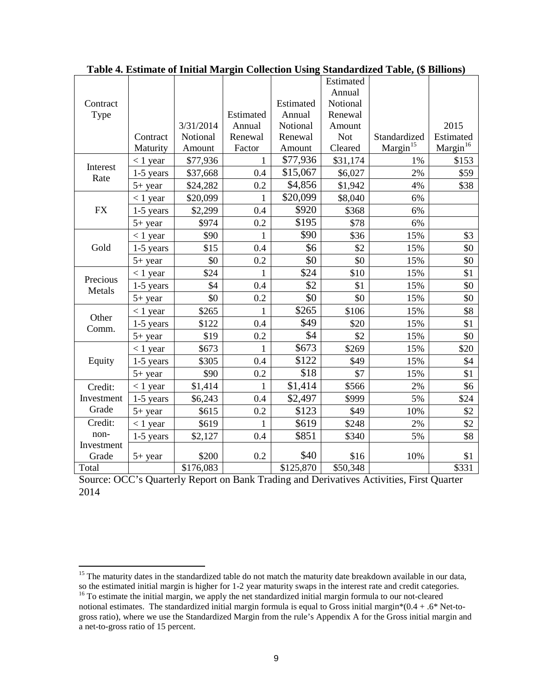|            |             |           |              |           | Estimated  |                      |                      |
|------------|-------------|-----------|--------------|-----------|------------|----------------------|----------------------|
|            |             |           |              |           | Annual     |                      |                      |
| Contract   |             |           |              | Estimated | Notional   |                      |                      |
| Type       |             |           | Estimated    | Annual    | Renewal    |                      |                      |
|            |             | 3/31/2014 | Annual       | Notional  | Amount     |                      | 2015                 |
|            | Contract    | Notional  | Renewal      | Renewal   | <b>Not</b> | Standardized         | Estimated            |
|            | Maturity    | Amount    | Factor       | Amount    | Cleared    | Margin <sup>15</sup> | Margin <sup>16</sup> |
| Interest   | $< 1$ year  | \$77,936  | $\mathbf{1}$ | \$77,936  | \$31,174   | 1%                   | \$153                |
| Rate       | $1-5$ years | \$37,668  | 0.4          | \$15,067  | \$6,027    | 2%                   | \$59                 |
|            | $5+$ year   | \$24,282  | 0.2          | \$4,856   | \$1,942    | 4%                   | \$38                 |
|            | $<$ 1 year  | \$20,099  | $\mathbf{1}$ | \$20,099  | \$8,040    | 6%                   |                      |
| <b>FX</b>  | $1-5$ years | \$2,299   | 0.4          | \$920     | \$368      | 6%                   |                      |
|            | $5+$ year   | \$974     | 0.2          | \$195     | \$78       | 6%                   |                      |
|            | $<$ 1 year  | \$90      | $\mathbf{1}$ | \$90      | \$36       | 15%                  | \$3                  |
| Gold       | 1-5 years   | \$15      | 0.4          | \$6       | \$2        | 15%                  | \$0                  |
|            | $5+$ year   | \$0       | 0.2          | \$0       | \$0        | 15%                  | \$0                  |
| Precious   | $< 1$ year  | \$24      | $\mathbf{1}$ | \$24      | \$10       | 15%                  | \$1                  |
| Metals     | 1-5 years   | \$4       | 0.4          | \$2       | \$1        | 15%                  | \$0                  |
|            | $5+$ year   | \$0       | 0.2          | \$0       | \$0        | 15%                  | \$0                  |
| Other      | $< 1$ year  | \$265     | $\mathbf{1}$ | \$265     | \$106      | 15%                  | \$8                  |
| Comm.      | $1-5$ years | \$122     | 0.4          | \$49      | \$20       | 15%                  | \$1                  |
|            | $5+$ year   | \$19      | 0.2          | \$4       | \$2        | 15%                  | \$0                  |
|            | $<$ 1 year  | \$673     | $\mathbf{1}$ | \$673     | \$269      | 15%                  | \$20                 |
| Equity     | $1-5$ years | \$305     | 0.4          | \$122     | \$49       | 15%                  | \$4                  |
|            | $5+$ year   | \$90      | 0.2          | \$18      | \$7        | 15%                  | \$1                  |
| Credit:    | $< 1$ year  | \$1,414   | 1            | \$1,414   | \$566      | 2%                   | \$6                  |
| Investment | $1-5$ years | \$6,243   | $0.4\,$      | \$2,497   | \$999      | 5%                   | \$24                 |
| Grade      | $5+$ year   | \$615     | 0.2          | \$123     | \$49       | 10%                  | \$2                  |
| Credit:    | $< 1$ year  | \$619     | 1            | \$619     | \$248      | 2%                   | \$2                  |
| non-       | $1-5$ years | \$2,127   | 0.4          | \$851     | \$340      | 5%                   | \$8                  |
| Investment |             |           |              |           |            |                      |                      |
| Grade      | $5+$ year   | \$200     | 0.2          | \$40      | \$16       | 10%                  | \$1                  |
| Total      |             | \$176,083 |              | \$125,870 | \$50,348   |                      | \$331                |

**Table 4. Estimate of Initial Margin Collection Using Standardized Table, (\$ Billions)**

Source: OCC's Quarterly Report on Bank Trading and Derivatives Activities, First Quarter 2014

<span id="page-8-0"></span><sup>&</sup>lt;sup>15</sup> The maturity dates in the standardized table do not match the maturity date breakdown available in our data, so the estimated initial margin is higher for 1-2 year maturity swaps in the interest rate and credit categories.<br><sup>16</sup> To estimate the initial margin, we apply the net standardized initial margin formula to our not-cleared

<span id="page-8-1"></span>notional estimates. The standardized initial margin formula is equal to Gross initial margin\*(0.4 + .6\* Net-togross ratio), where we use the Standardized Margin from the rule's Appendix A for the Gross initial margin and a net-to-gross ratio of 15 percent.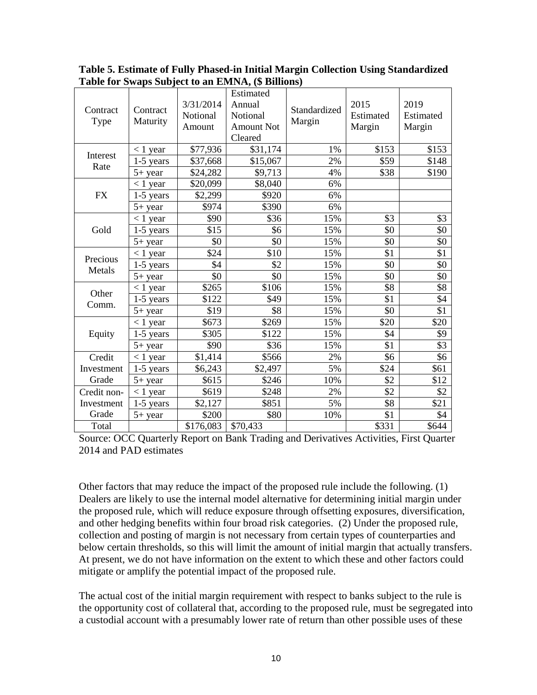| Contract<br>Type | Contract<br>Maturity | 3/31/2014<br>Notional<br>Amount | Estimated<br>Annual<br>Notional<br><b>Amount Not</b><br>Cleared | Standardized<br>Margin | 2015<br>Estimated<br>Margin | 2019<br>Estimated<br>Margin |
|------------------|----------------------|---------------------------------|-----------------------------------------------------------------|------------------------|-----------------------------|-----------------------------|
|                  | $<$ 1 year           | \$77,936                        | \$31,174                                                        | 1%                     | \$153                       | \$153                       |
| Interest<br>Rate | $1-5$ years          | \$37,668                        | \$15,067                                                        | 2%                     | \$59                        | \$148                       |
|                  | $5+$ year            | \$24,282                        | \$9,713                                                         | 4%                     | \$38                        | \$190                       |
|                  | $< 1$ year           | \$20,099                        | \$8,040                                                         | 6%                     |                             |                             |
| <b>FX</b>        | 1-5 years            | \$2,299                         | \$920                                                           | 6%                     |                             |                             |
|                  | $5+$ year            | \$974                           | \$390                                                           | 6%                     |                             |                             |
|                  | $< 1$ year           | \$90                            | \$36                                                            | 15%                    | \$3                         | \$3                         |
| Gold             | $1-5$ years          | \$15                            | \$6                                                             | 15%                    | \$0                         | \$0                         |
|                  | $5+$ year            | \$0                             | \$0                                                             | 15%                    | \$0                         | \$0                         |
| Precious         | $< 1$ year           | \$24                            | \$10                                                            | 15%                    | \$1                         | \$1                         |
| Metals           | 1-5 years            | \$4                             | \$2                                                             | 15%                    | \$0                         | \$0                         |
|                  | 5+ year              | \$0                             | \$0                                                             | 15%                    | \$0                         | \$0                         |
| Other            | $< 1$ year           | \$265                           | \$106                                                           | 15%                    | \$8                         | \$8                         |
| Comm.            | 1-5 years            | \$122                           | \$49                                                            | 15%                    | \$1                         | \$4                         |
|                  | 5+ year              | \$19                            | \$8                                                             | 15%                    | \$0                         | \$1                         |
|                  | $< 1$ year           | \$673                           | \$269                                                           | 15%                    | \$20                        | \$20                        |
| Equity           | $1-5$ years          | \$305                           | \$122                                                           | 15%                    | \$4                         | \$9                         |
|                  | $5+$ year            | \$90                            | \$36                                                            | 15%                    | \$1                         | \$3                         |
| Credit           | $< 1$ year           | \$1,414                         | \$566                                                           | 2%                     | \$6                         | \$6                         |
| Investment       | 1-5 years            | \$6,243                         | \$2,497                                                         | 5%                     | \$24                        | \$61                        |
| Grade            | 5+ year              | \$615                           | \$246                                                           | 10%                    | \$2                         | \$12                        |
| Credit non-      | $< 1$ year           | \$619                           | \$248                                                           | 2%                     | \$2                         | \$2                         |
| Investment       | $1-5$ years          | \$2,127                         | \$851                                                           | 5%                     | \$8                         | \$21                        |
| Grade            | 5+ year              | \$200                           | \$80                                                            | 10%                    | \$1                         | \$4                         |
| Total            |                      | \$176,083                       | \$70,433                                                        |                        | \$331                       | \$644                       |

**Table 5. Estimate of Fully Phased-in Initial Margin Collection Using Standardized Table for Swaps Subject to an EMNA, (\$ Billions)** 

Source: OCC Quarterly Report on Bank Trading and Derivatives Activities, First Quarter 2014 and PAD estimates

Other factors that may reduce the impact of the proposed rule include the following. (1) Dealers are likely to use the internal model alternative for determining initial margin under the proposed rule, which will reduce exposure through offsetting exposures, diversification, and other hedging benefits within four broad risk categories. (2) Under the proposed rule, collection and posting of margin is not necessary from certain types of counterparties and below certain thresholds, so this will limit the amount of initial margin that actually transfers. At present, we do not have information on the extent to which these and other factors could mitigate or amplify the potential impact of the proposed rule.

The actual cost of the initial margin requirement with respect to banks subject to the rule is the opportunity cost of collateral that, according to the proposed rule, must be segregated into a custodial account with a presumably lower rate of return than other possible uses of these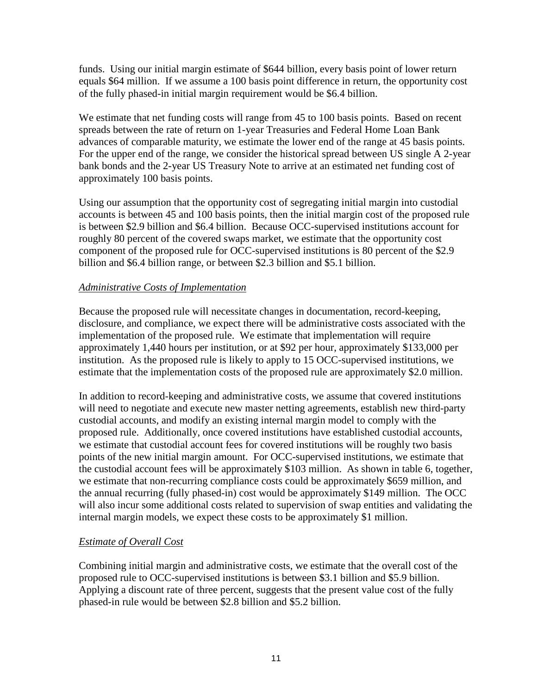funds. Using our initial margin estimate of \$644 billion, every basis point of lower return equals \$64 million. If we assume a 100 basis point difference in return, the opportunity cost of the fully phased-in initial margin requirement would be \$6.4 billion.

We estimate that net funding costs will range from 45 to 100 basis points. Based on recent spreads between the rate of return on 1-year Treasuries and Federal Home Loan Bank advances of comparable maturity, we estimate the lower end of the range at 45 basis points. For the upper end of the range, we consider the historical spread between US single A 2-year bank bonds and the 2-year US Treasury Note to arrive at an estimated net funding cost of approximately 100 basis points.

Using our assumption that the opportunity cost of segregating initial margin into custodial accounts is between 45 and 100 basis points, then the initial margin cost of the proposed rule is between \$2.9 billion and \$6.4 billion. Because OCC-supervised institutions account for roughly 80 percent of the covered swaps market, we estimate that the opportunity cost component of the proposed rule for OCC-supervised institutions is 80 percent of the \$2.9 billion and \$6.4 billion range, or between \$2.3 billion and \$5.1 billion.

## *Administrative Costs of Implementation*

Because the proposed rule will necessitate changes in documentation, record-keeping, disclosure, and compliance, we expect there will be administrative costs associated with the implementation of the proposed rule. We estimate that implementation will require approximately 1,440 hours per institution, or at \$92 per hour, approximately \$133,000 per institution. As the proposed rule is likely to apply to 15 OCC-supervised institutions, we estimate that the implementation costs of the proposed rule are approximately \$2.0 million.

In addition to record-keeping and administrative costs, we assume that covered institutions will need to negotiate and execute new master netting agreements, establish new third-party custodial accounts, and modify an existing internal margin model to comply with the proposed rule. Additionally, once covered institutions have established custodial accounts, we estimate that custodial account fees for covered institutions will be roughly two basis points of the new initial margin amount. For OCC-supervised institutions, we estimate that the custodial account fees will be approximately \$103 million. As shown in table 6, together, we estimate that non-recurring compliance costs could be approximately \$659 million, and the annual recurring (fully phased-in) cost would be approximately \$149 million. The OCC will also incur some additional costs related to supervision of swap entities and validating the internal margin models, we expect these costs to be approximately \$1 million.

#### *Estimate of Overall Cost*

Combining initial margin and administrative costs, we estimate that the overall cost of the proposed rule to OCC-supervised institutions is between \$3.1 billion and \$5.9 billion. Applying a discount rate of three percent, suggests that the present value cost of the fully phased-in rule would be between \$2.8 billion and \$5.2 billion.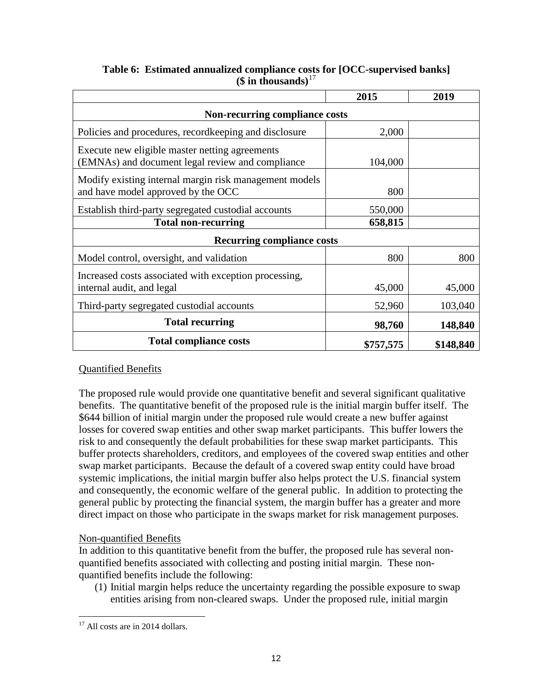|                                                                                                    | 2015      | 2019      |  |  |  |
|----------------------------------------------------------------------------------------------------|-----------|-----------|--|--|--|
| <b>Non-recurring compliance costs</b>                                                              |           |           |  |  |  |
| Policies and procedures, record keeping and disclosure                                             | 2,000     |           |  |  |  |
| Execute new eligible master netting agreements<br>(EMNAs) and document legal review and compliance | 104,000   |           |  |  |  |
| Modify existing internal margin risk management models<br>and have model approved by the OCC       | 800       |           |  |  |  |
| Establish third-party segregated custodial accounts                                                | 550,000   |           |  |  |  |
| <b>Total non-recurring</b>                                                                         | 658,815   |           |  |  |  |
| <b>Recurring compliance costs</b>                                                                  |           |           |  |  |  |
| Model control, oversight, and validation                                                           | 800       | 800       |  |  |  |
| Increased costs associated with exception processing,<br>internal audit, and legal                 | 45,000    | 45,000    |  |  |  |
| Third-party segregated custodial accounts                                                          | 52,960    | 103,040   |  |  |  |
| <b>Total recurring</b>                                                                             | 98,760    | 148,840   |  |  |  |
| <b>Total compliance costs</b>                                                                      | \$757,575 | \$148,840 |  |  |  |

# **Table 6: Estimated annualized compliance costs for [OCC-supervised banks] (\$ in thousands)**[17](#page-11-0)

# Quantified Benefits

The proposed rule would provide one quantitative benefit and several significant qualitative benefits. The quantitative benefit of the proposed rule is the initial margin buffer itself. The \$644 billion of initial margin under the proposed rule would create a new buffer against losses for covered swap entities and other swap market participants. This buffer lowers the risk to and consequently the default probabilities for these swap market participants. This buffer protects shareholders, creditors, and employees of the covered swap entities and other swap market participants. Because the default of a covered swap entity could have broad systemic implications, the initial margin buffer also helps protect the U.S. financial system and consequently, the economic welfare of the general public. In addition to protecting the general public by protecting the financial system, the margin buffer has a greater and more direct impact on those who participate in the swaps market for risk management purposes.

## Non-quantified Benefits

In addition to this quantitative benefit from the buffer, the proposed rule has several nonquantified benefits associated with collecting and posting initial margin. These nonquantified benefits include the following:

(1) Initial margin helps reduce the uncertainty regarding the possible exposure to swap entities arising from non-cleared swaps. Under the proposed rule, initial margin

<span id="page-11-0"></span><sup>&</sup>lt;sup>17</sup> All costs are in 2014 dollars.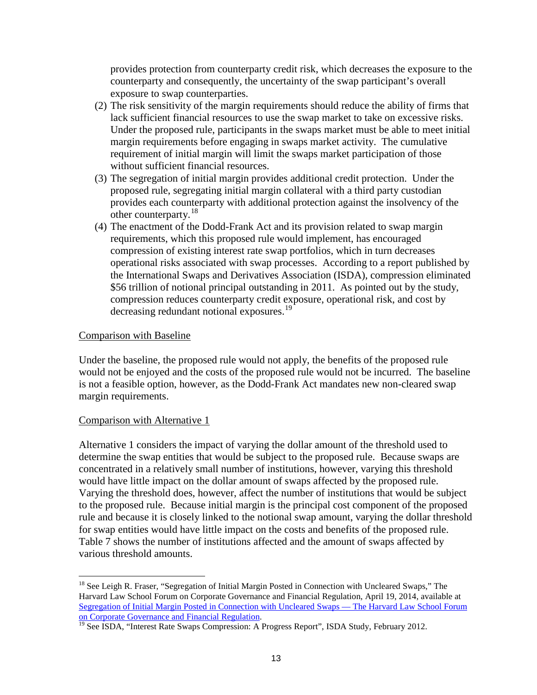provides protection from counterparty credit risk, which decreases the exposure to the counterparty and consequently, the uncertainty of the swap participant's overall exposure to swap counterparties.

- (2) The risk sensitivity of the margin requirements should reduce the ability of firms that lack sufficient financial resources to use the swap market to take on excessive risks. Under the proposed rule, participants in the swaps market must be able to meet initial margin requirements before engaging in swaps market activity. The cumulative requirement of initial margin will limit the swaps market participation of those without sufficient financial resources.
- (3) The segregation of initial margin provides additional credit protection. Under the proposed rule, segregating initial margin collateral with a third party custodian provides each counterparty with additional protection against the insolvency of the other counterparty.<sup>18</sup>
- (4) The enactment of the Dodd-Frank Act and its provision related to swap margin requirements, which this proposed rule would implement, has encouraged compression of existing interest rate swap portfolios, which in turn decreases operational risks associated with swap processes. According to a report published by the International Swaps and Derivatives Association (ISDA), compression eliminated \$56 trillion of notional principal outstanding in 2011. As pointed out by the study, compression reduces counterparty credit exposure, operational risk, and cost by decreasing redundant notional exposures.<sup>[19](#page-12-1)</sup>

## Comparison with Baseline

Under the baseline, the proposed rule would not apply, the benefits of the proposed rule would not be enjoyed and the costs of the proposed rule would not be incurred. The baseline is not a feasible option, however, as the Dodd-Frank Act mandates new non-cleared swap margin requirements.

#### Comparison with Alternative 1

Alternative 1 considers the impact of varying the dollar amount of the threshold used to determine the swap entities that would be subject to the proposed rule. Because swaps are concentrated in a relatively small number of institutions, however, varying this threshold would have little impact on the dollar amount of swaps affected by the proposed rule. Varying the threshold does, however, affect the number of institutions that would be subject to the proposed rule. Because initial margin is the principal cost component of the proposed rule and because it is closely linked to the notional swap amount, varying the dollar threshold for swap entities would have little impact on the costs and benefits of the proposed rule. Table 7 shows the number of institutions affected and the amount of swaps affected by various threshold amounts.

<span id="page-12-0"></span><sup>&</sup>lt;sup>18</sup> See Leigh R. Fraser, "Segregation of Initial Margin Posted in Connection with Uncleared Swaps," The Harvard Law School Forum on Corporate Governance and Financial Regulation, April 19, 2014, available at [Segregation of Initial Margin Posted in Connection with Uncleared Swaps —](http://blogs.law.harvard.edu/corpgov/2014/04/19/segregation-of-initial-margin-posted-in-connection-with-uncleared-swaps/) The Harvard Law School Forum [on Corporate Governance and Financial Regulation.](http://blogs.law.harvard.edu/corpgov/2014/04/19/segregation-of-initial-margin-posted-in-connection-with-uncleared-swaps/)<br><sup>19</sup> See ISDA, "Interest Rate Swaps Compression: A Progress Report", ISDA Study, February 2012.

<span id="page-12-1"></span>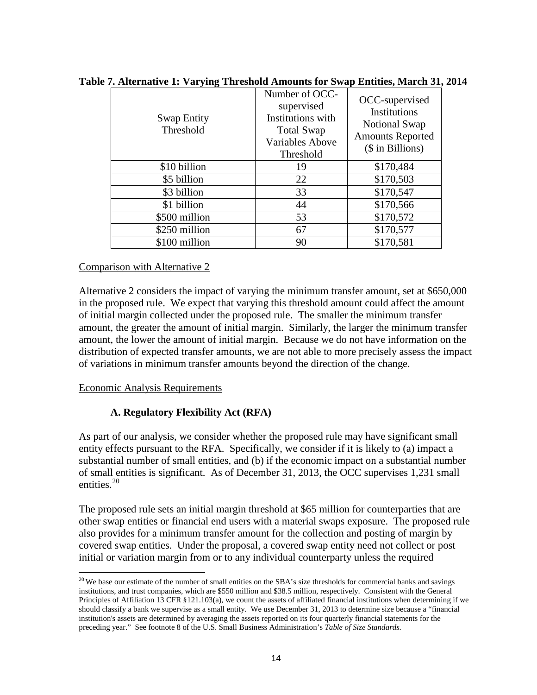| <b>Swap Entity</b><br>Threshold | Number of OCC-<br>supervised<br>Institutions with<br><b>Total Swap</b><br><b>Variables Above</b><br>Threshold | OCC-supervised<br><b>Institutions</b><br>Notional Swap<br><b>Amounts Reported</b><br>(\$ in Billions) |
|---------------------------------|---------------------------------------------------------------------------------------------------------------|-------------------------------------------------------------------------------------------------------|
| \$10 billion                    | 19                                                                                                            | \$170,484                                                                                             |
| \$5 billion                     | 22                                                                                                            | \$170,503                                                                                             |
| \$3 billion                     | 33                                                                                                            | \$170,547                                                                                             |
| \$1 billion                     | 44                                                                                                            | \$170,566                                                                                             |
| \$500 million                   | 53                                                                                                            | \$170,572                                                                                             |
| \$250 million                   | 67                                                                                                            | \$170,577                                                                                             |
| \$100 million                   | 90                                                                                                            | \$170,581                                                                                             |

**Table 7. Alternative 1: Varying Threshold Amounts for Swap Entities, March 31, 2014**

## Comparison with Alternative 2

Alternative 2 considers the impact of varying the minimum transfer amount, set at \$650,000 in the proposed rule. We expect that varying this threshold amount could affect the amount of initial margin collected under the proposed rule. The smaller the minimum transfer amount, the greater the amount of initial margin. Similarly, the larger the minimum transfer amount, the lower the amount of initial margin. Because we do not have information on the distribution of expected transfer amounts, we are not able to more precisely assess the impact of variations in minimum transfer amounts beyond the direction of the change.

Economic Analysis Requirements

# **A. Regulatory Flexibility Act (RFA)**

As part of our analysis, we consider whether the proposed rule may have significant small entity effects pursuant to the RFA. Specifically, we consider if it is likely to (a) impact a substantial number of small entities, and (b) if the economic impact on a substantial number of small entities is significant. As of December 31, 2013, the OCC supervises 1,231 small entities. $20$ 

The proposed rule sets an initial margin threshold at \$65 million for counterparties that are other swap entities or financial end users with a material swaps exposure. The proposed rule also provides for a minimum transfer amount for the collection and posting of margin by covered swap entities. Under the proposal, a covered swap entity need not collect or post initial or variation margin from or to any individual counterparty unless the required

<span id="page-13-0"></span> $20$  We base our estimate of the number of small entities on the SBA's size thresholds for commercial banks and savings institutions, and trust companies, which are \$550 million and \$38.5 million, respectively. Consistent with the General Principles of Affiliation 13 CFR §121.103(a), we count the assets of affiliated financial institutions when determining if we should classify a bank we supervise as a small entity. We use December 31, 2013 to determine size because a "financial institution's assets are determined by averaging the assets reported on its four quarterly financial statements for the preceding year." See footnote 8 of the U.S. Small Business Administration's *Table of Size Standards*.